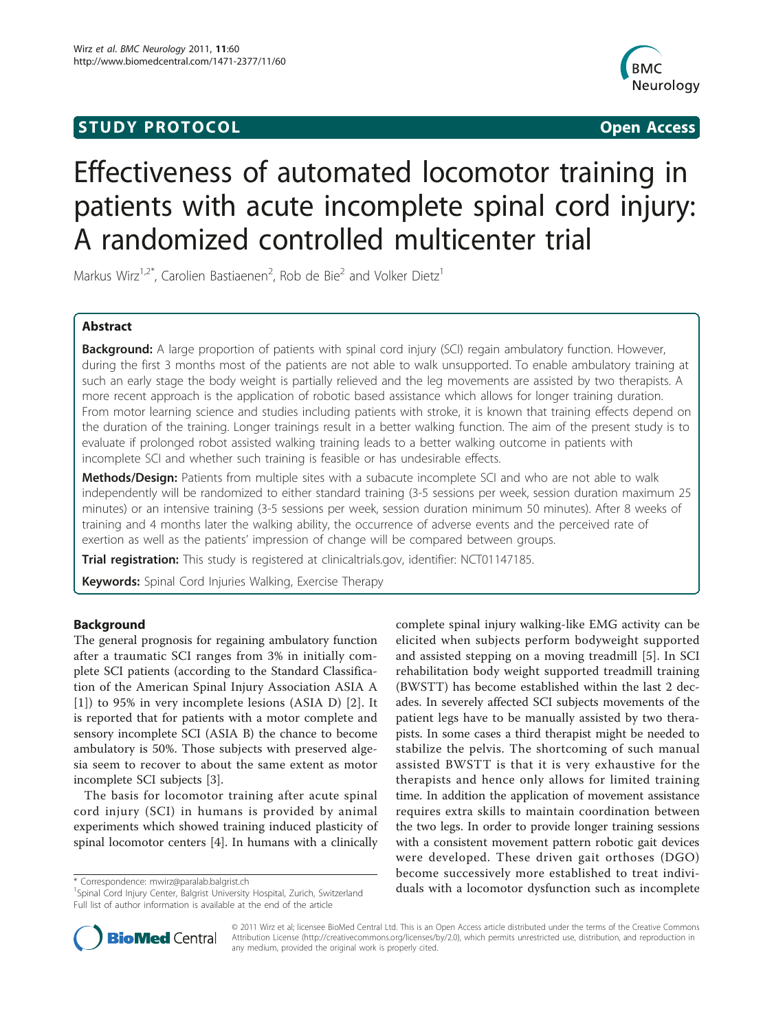# **STUDY PROTOCOL** And the state of the state of the state of the state of the state of the state of the state of the state of the state of the state of the state of the state of the state of the state of the state of the st



# Effectiveness of automated locomotor training in patients with acute incomplete spinal cord injury: A randomized controlled multicenter trial

Markus Wirz<sup>1,2\*</sup>, Carolien Bastiaenen<sup>2</sup>, Rob de Bie<sup>2</sup> and Volker Dietz<sup>1</sup>

# Abstract

Background: A large proportion of patients with spinal cord injury (SCI) regain ambulatory function. However, during the first 3 months most of the patients are not able to walk unsupported. To enable ambulatory training at such an early stage the body weight is partially relieved and the leg movements are assisted by two therapists. A more recent approach is the application of robotic based assistance which allows for longer training duration. From motor learning science and studies including patients with stroke, it is known that training effects depend on the duration of the training. Longer trainings result in a better walking function. The aim of the present study is to evaluate if prolonged robot assisted walking training leads to a better walking outcome in patients with incomplete SCI and whether such training is feasible or has undesirable effects.

Methods/Design: Patients from multiple sites with a subacute incomplete SCI and who are not able to walk independently will be randomized to either standard training (3-5 sessions per week, session duration maximum 25 minutes) or an intensive training (3-5 sessions per week, session duration minimum 50 minutes). After 8 weeks of training and 4 months later the walking ability, the occurrence of adverse events and the perceived rate of exertion as well as the patients' impression of change will be compared between groups.

**Trial registration:** This study is registered at clinicaltrials.gov, identifier: [NCT01147185](http://www.clinicaltrials.gov/ct2/show/NCT01147185).

Keywords: Spinal Cord Injuries Walking, Exercise Therapy

# Background

The general prognosis for regaining ambulatory function after a traumatic SCI ranges from 3% in initially complete SCI patients (according to the Standard Classification of the American Spinal Injury Association ASIA A [[1](#page-3-0)]) to 95% in very incomplete lesions (ASIA D) [[2\]](#page-3-0). It is reported that for patients with a motor complete and sensory incomplete SCI (ASIA B) the chance to become ambulatory is 50%. Those subjects with preserved algesia seem to recover to about the same extent as motor incomplete SCI subjects [[3\]](#page-3-0).

The basis for locomotor training after acute spinal cord injury (SCI) in humans is provided by animal experiments which showed training induced plasticity of spinal locomotor centers [[4\]](#page-3-0). In humans with a clinically

complete spinal injury walking-like EMG activity can be elicited when subjects perform bodyweight supported and assisted stepping on a moving treadmill [\[5](#page-3-0)]. In SCI rehabilitation body weight supported treadmill training (BWSTT) has become established within the last 2 decades. In severely affected SCI subjects movements of the patient legs have to be manually assisted by two therapists. In some cases a third therapist might be needed to stabilize the pelvis. The shortcoming of such manual assisted BWSTT is that it is very exhaustive for the therapists and hence only allows for limited training time. In addition the application of movement assistance requires extra skills to maintain coordination between the two legs. In order to provide longer training sessions with a consistent movement pattern robotic gait devices were developed. These driven gait orthoses (DGO) become successively more established to treat indivi\* Correspondence: [mwirz@paralab.balgrist.ch](mailto:mwirz@paralab.balgrist.ch)<br><sup>1</sup>Sninal Cord Injury Center Balgrist University Hospital Zurich Switzerland **duals with a locomotor dysfunction such as incomplete** 



© 2011 Wirz et al; licensee BioMed Central Ltd. This is an Open Access article distributed under the terms of the Creative Commons Attribution License [\(http://creativecommons.org/licenses/by/2.0](http://creativecommons.org/licenses/by/2.0)), which permits unrestricted use, distribution, and reproduction in any medium, provided the original work is properly cited.

<sup>&</sup>lt;sup>1</sup>Spinal Cord Injury Center, Balgrist University Hospital, Zurich, Switzerland Full list of author information is available at the end of the article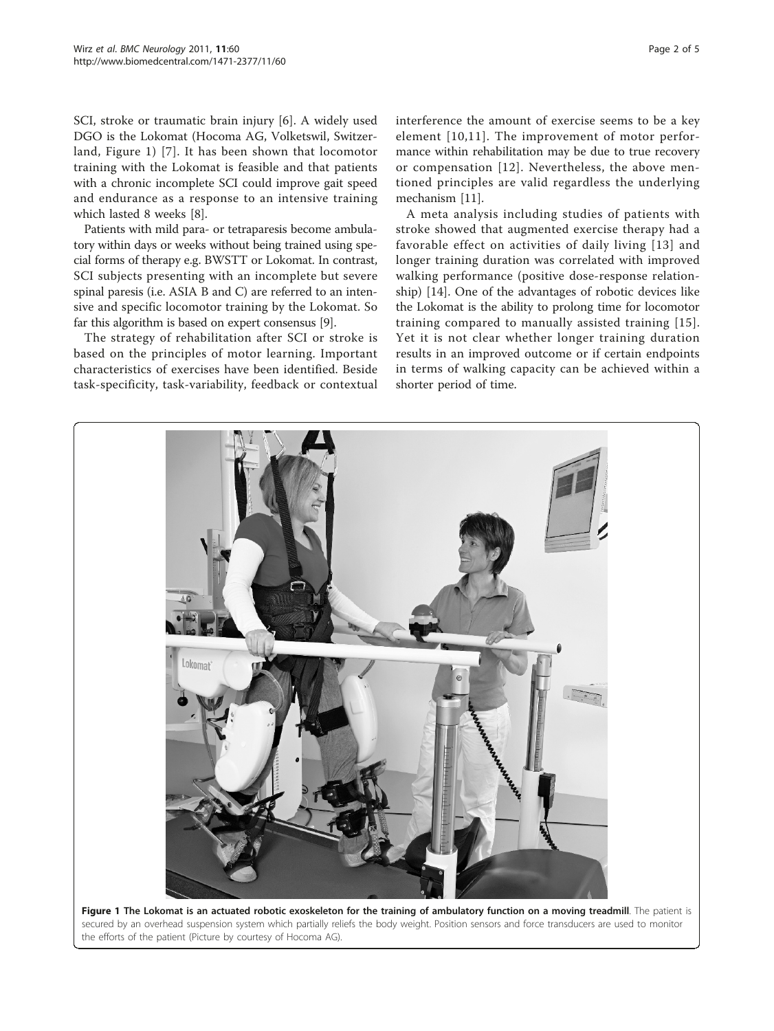SCI, stroke or traumatic brain injury [[6\]](#page-3-0). A widely used DGO is the Lokomat (Hocoma AG, Volketswil, Switzerland, Figure 1) [[7\]](#page-3-0). It has been shown that locomotor training with the Lokomat is feasible and that patients with a chronic incomplete SCI could improve gait speed and endurance as a response to an intensive training which lasted 8 weeks [[8](#page-3-0)].

Patients with mild para- or tetraparesis become ambulatory within days or weeks without being trained using special forms of therapy e.g. BWSTT or Lokomat. In contrast, SCI subjects presenting with an incomplete but severe spinal paresis (i.e. ASIA B and C) are referred to an intensive and specific locomotor training by the Lokomat. So far this algorithm is based on expert consensus [\[9\]](#page-3-0).

The strategy of rehabilitation after SCI or stroke is based on the principles of motor learning. Important characteristics of exercises have been identified. Beside task-specificity, task-variability, feedback or contextual interference the amount of exercise seems to be a key element [[10,11\]](#page-3-0). The improvement of motor performance within rehabilitation may be due to true recovery or compensation [[12](#page-3-0)]. Nevertheless, the above mentioned principles are valid regardless the underlying mechanism [[11](#page-3-0)].

A meta analysis including studies of patients with stroke showed that augmented exercise therapy had a favorable effect on activities of daily living [[13\]](#page-3-0) and longer training duration was correlated with improved walking performance (positive dose-response relationship) [[14](#page-3-0)]. One of the advantages of robotic devices like the Lokomat is the ability to prolong time for locomotor training compared to manually assisted training [[15\]](#page-3-0). Yet it is not clear whether longer training duration results in an improved outcome or if certain endpoints in terms of walking capacity can be achieved within a shorter period of time.

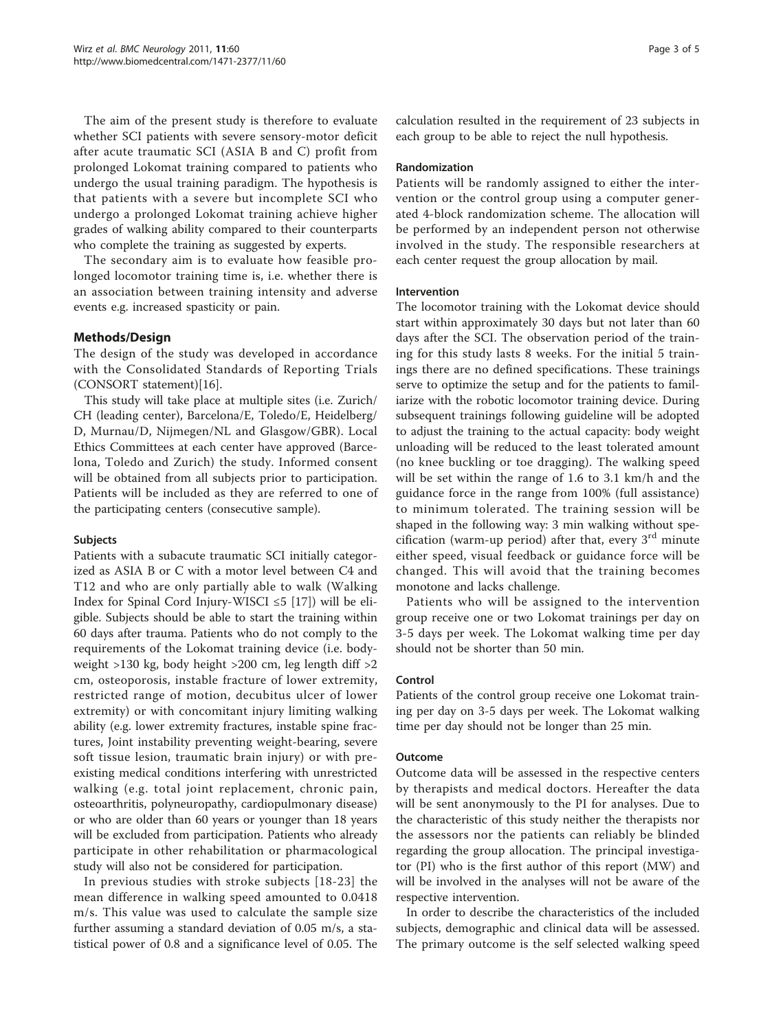The aim of the present study is therefore to evaluate whether SCI patients with severe sensory-motor deficit after acute traumatic SCI (ASIA B and C) profit from prolonged Lokomat training compared to patients who undergo the usual training paradigm. The hypothesis is that patients with a severe but incomplete SCI who undergo a prolonged Lokomat training achieve higher grades of walking ability compared to their counterparts who complete the training as suggested by experts.

The secondary aim is to evaluate how feasible prolonged locomotor training time is, i.e. whether there is an association between training intensity and adverse events e.g. increased spasticity or pain.

# Methods/Design

The design of the study was developed in accordance with the Consolidated Standards of Reporting Trials (CONSORT statement)[[16\]](#page-4-0).

This study will take place at multiple sites (i.e. Zurich/ CH (leading center), Barcelona/E, Toledo/E, Heidelberg/ D, Murnau/D, Nijmegen/NL and Glasgow/GBR). Local Ethics Committees at each center have approved (Barcelona, Toledo and Zurich) the study. Informed consent will be obtained from all subjects prior to participation. Patients will be included as they are referred to one of the participating centers (consecutive sample).

# Subjects

Patients with a subacute traumatic SCI initially categorized as ASIA B or C with a motor level between C4 and T12 and who are only partially able to walk (Walking Index for Spinal Cord Injury-WISCI ≤5 [\[17\]](#page-4-0)) will be eligible. Subjects should be able to start the training within 60 days after trauma. Patients who do not comply to the requirements of the Lokomat training device (i.e. bodyweight >130 kg, body height >200 cm, leg length diff >2 cm, osteoporosis, instable fracture of lower extremity, restricted range of motion, decubitus ulcer of lower extremity) or with concomitant injury limiting walking ability (e.g. lower extremity fractures, instable spine fractures, Joint instability preventing weight-bearing, severe soft tissue lesion, traumatic brain injury) or with preexisting medical conditions interfering with unrestricted walking (e.g. total joint replacement, chronic pain, osteoarthritis, polyneuropathy, cardiopulmonary disease) or who are older than 60 years or younger than 18 years will be excluded from participation. Patients who already participate in other rehabilitation or pharmacological study will also not be considered for participation.

In previous studies with stroke subjects [[18-23](#page-4-0)] the mean difference in walking speed amounted to 0.0418 m/s. This value was used to calculate the sample size further assuming a standard deviation of 0.05 m/s, a statistical power of 0.8 and a significance level of 0.05. The calculation resulted in the requirement of 23 subjects in each group to be able to reject the null hypothesis.

# Randomization

Patients will be randomly assigned to either the intervention or the control group using a computer generated 4-block randomization scheme. The allocation will be performed by an independent person not otherwise involved in the study. The responsible researchers at each center request the group allocation by mail.

#### Intervention

The locomotor training with the Lokomat device should start within approximately 30 days but not later than 60 days after the SCI. The observation period of the training for this study lasts 8 weeks. For the initial 5 trainings there are no defined specifications. These trainings serve to optimize the setup and for the patients to familiarize with the robotic locomotor training device. During subsequent trainings following guideline will be adopted to adjust the training to the actual capacity: body weight unloading will be reduced to the least tolerated amount (no knee buckling or toe dragging). The walking speed will be set within the range of 1.6 to 3.1 km/h and the guidance force in the range from 100% (full assistance) to minimum tolerated. The training session will be shaped in the following way: 3 min walking without specification (warm-up period) after that, every  $3<sup>rd</sup>$  minute either speed, visual feedback or guidance force will be changed. This will avoid that the training becomes monotone and lacks challenge.

Patients who will be assigned to the intervention group receive one or two Lokomat trainings per day on 3-5 days per week. The Lokomat walking time per day should not be shorter than 50 min.

# Control

Patients of the control group receive one Lokomat training per day on 3-5 days per week. The Lokomat walking time per day should not be longer than 25 min.

# Outcome

Outcome data will be assessed in the respective centers by therapists and medical doctors. Hereafter the data will be sent anonymously to the PI for analyses. Due to the characteristic of this study neither the therapists nor the assessors nor the patients can reliably be blinded regarding the group allocation. The principal investigator (PI) who is the first author of this report (MW) and will be involved in the analyses will not be aware of the respective intervention.

In order to describe the characteristics of the included subjects, demographic and clinical data will be assessed. The primary outcome is the self selected walking speed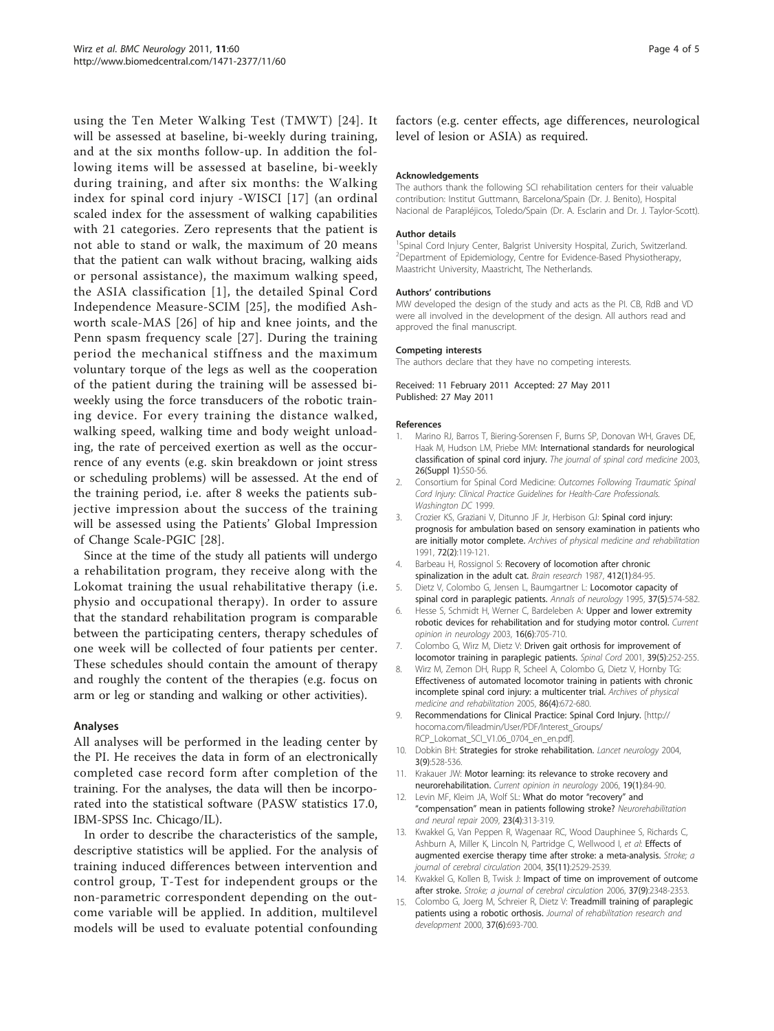<span id="page-3-0"></span>using the Ten Meter Walking Test (TMWT) [[24\]](#page-4-0). It will be assessed at baseline, bi-weekly during training, and at the six months follow-up. In addition the following items will be assessed at baseline, bi-weekly during training, and after six months: the Walking index for spinal cord injury -WISCI [[17\]](#page-4-0) (an ordinal scaled index for the assessment of walking capabilities with 21 categories. Zero represents that the patient is not able to stand or walk, the maximum of 20 means that the patient can walk without bracing, walking aids or personal assistance), the maximum walking speed, the ASIA classification [1], the detailed Spinal Cord Independence Measure-SCIM [[25](#page-4-0)], the modified Ashworth scale-MAS [[26\]](#page-4-0) of hip and knee joints, and the Penn spasm frequency scale [[27](#page-4-0)]. During the training period the mechanical stiffness and the maximum voluntary torque of the legs as well as the cooperation of the patient during the training will be assessed biweekly using the force transducers of the robotic training device. For every training the distance walked, walking speed, walking time and body weight unloading, the rate of perceived exertion as well as the occurrence of any events (e.g. skin breakdown or joint stress or scheduling problems) will be assessed. At the end of the training period, i.e. after 8 weeks the patients subjective impression about the success of the training will be assessed using the Patients' Global Impression of Change Scale-PGIC [\[28](#page-4-0)].

Since at the time of the study all patients will undergo a rehabilitation program, they receive along with the Lokomat training the usual rehabilitative therapy (i.e. physio and occupational therapy). In order to assure that the standard rehabilitation program is comparable between the participating centers, therapy schedules of one week will be collected of four patients per center. These schedules should contain the amount of therapy and roughly the content of the therapies (e.g. focus on arm or leg or standing and walking or other activities).

# Analyses

All analyses will be performed in the leading center by the PI. He receives the data in form of an electronically completed case record form after completion of the training. For the analyses, the data will then be incorporated into the statistical software (PASW statistics 17.0, IBM-SPSS Inc. Chicago/IL).

In order to describe the characteristics of the sample, descriptive statistics will be applied. For the analysis of training induced differences between intervention and control group, T-Test for independent groups or the non-parametric correspondent depending on the outcome variable will be applied. In addition, multilevel models will be used to evaluate potential confounding

factors (e.g. center effects, age differences, neurological level of lesion or ASIA) as required.

#### Acknowledgements

The authors thank the following SCI rehabilitation centers for their valuable contribution: Institut Guttmann, Barcelona/Spain (Dr. J. Benito), Hospital Nacional de Parapléjicos, Toledo/Spain (Dr. A. Esclarin and Dr. J. Taylor-Scott).

#### Author details

<sup>1</sup>Spinal Cord Injury Center, Balgrist University Hospital, Zurich, Switzerland 2 Department of Epidemiology, Centre for Evidence-Based Physiotherapy, Maastricht University, Maastricht, The Netherlands.

#### Authors' contributions

MW developed the design of the study and acts as the PI. CB, RdB and VD were all involved in the development of the design. All authors read and approved the final manuscript.

#### Competing interests

The authors declare that they have no competing interests.

Received: 11 February 2011 Accepted: 27 May 2011 Published: 27 May 2011

#### References

- Marino RJ, Barros T, Biering-Sorensen F, Burns SP, Donovan WH, Graves DE, Haak M, Hudson LM, Priebe MM: [International standards for neurological](http://www.ncbi.nlm.nih.gov/pubmed/16296564?dopt=Abstract) [classification of spinal cord injury.](http://www.ncbi.nlm.nih.gov/pubmed/16296564?dopt=Abstract) The journal of spinal cord medicine 2003, 26(Suppl 1):S50-56.
- 2. Consortium for Spinal Cord Medicine: Outcomes Following Traumatic Spinal Cord Injury: Clinical Practice Guidelines for Health-Care Professionals. Washington DC 1999.
- 3. Crozier KS, Graziani V, Ditunno JF Jr, Herbison GJ: [Spinal cord injury:](http://www.ncbi.nlm.nih.gov/pubmed/1991012?dopt=Abstract) [prognosis for ambulation based on sensory examination in patients who](http://www.ncbi.nlm.nih.gov/pubmed/1991012?dopt=Abstract) [are initially motor complete.](http://www.ncbi.nlm.nih.gov/pubmed/1991012?dopt=Abstract) Archives of physical medicine and rehabilitation 1991, 72(2):119-121.
- 4. Barbeau H, Rossignol S: [Recovery of locomotion after chronic](http://www.ncbi.nlm.nih.gov/pubmed/3607464?dopt=Abstract) [spinalization in the adult cat.](http://www.ncbi.nlm.nih.gov/pubmed/3607464?dopt=Abstract) Brain research 1987, 412(1):84-95.
- 5. Dietz V, Colombo G, Jensen L, Baumgartner L: [Locomotor capacity of](http://www.ncbi.nlm.nih.gov/pubmed/7755351?dopt=Abstract) [spinal cord in paraplegic patients.](http://www.ncbi.nlm.nih.gov/pubmed/7755351?dopt=Abstract) Annals of neurology 1995, 37(5):574-582.
- 6. Hesse S, Schmidt H, Werner C, Bardeleben A: [Upper and lower extremity](http://www.ncbi.nlm.nih.gov/pubmed/14624080?dopt=Abstract) [robotic devices for rehabilitation and for studying motor control.](http://www.ncbi.nlm.nih.gov/pubmed/14624080?dopt=Abstract) Current opinion in neurology 2003, 16(6):705-710.
- 7. Colombo G, Wirz M, Dietz V: [Driven gait orthosis for improvement of](http://www.ncbi.nlm.nih.gov/pubmed/11438840?dopt=Abstract) [locomotor training in paraplegic patients.](http://www.ncbi.nlm.nih.gov/pubmed/11438840?dopt=Abstract) Spinal Cord 2001, 39(5):252-255.
- 8. Wirz M, Zemon DH, Rupp R, Scheel A, Colombo G, Dietz V, Hornby TG: [Effectiveness of automated locomotor training in patients with chronic](http://www.ncbi.nlm.nih.gov/pubmed/15827916?dopt=Abstract) [incomplete spinal cord injury: a multicenter trial.](http://www.ncbi.nlm.nih.gov/pubmed/15827916?dopt=Abstract) Archives of physical medicine and rehabilitation 2005, 86(4):672-680.
- 9. Recommendations for Clinical Practice: Spinal Cord Injury. [[http://](http://hocoma.com/fileadmin/User/PDF/Interest_Groups/RCP_Lokomat_SCI_V1.06_0704_en_en.pdf) [hocoma.com/fileadmin/User/PDF/Interest\\_Groups/](http://hocoma.com/fileadmin/User/PDF/Interest_Groups/RCP_Lokomat_SCI_V1.06_0704_en_en.pdf) [RCP\\_Lokomat\\_SCI\\_V1.06\\_0704\\_en\\_en.pdf](http://hocoma.com/fileadmin/User/PDF/Interest_Groups/RCP_Lokomat_SCI_V1.06_0704_en_en.pdf)].
- 10. Dobkin BH: [Strategies for stroke rehabilitation.](http://www.ncbi.nlm.nih.gov/pubmed/15324721?dopt=Abstract) Lancet neurology 2004, 3(9):528-536.
- 11. Krakauer JW: [Motor learning: its relevance to stroke recovery and](http://www.ncbi.nlm.nih.gov/pubmed/16415682?dopt=Abstract) [neurorehabilitation.](http://www.ncbi.nlm.nih.gov/pubmed/16415682?dopt=Abstract) Current opinion in neurology 2006, 19(1):84-90.
- 12. Levin MF, Kleim JA, Wolf SL: [What do motor](http://www.ncbi.nlm.nih.gov/pubmed/19118128?dopt=Abstract) "recovery" and "compensation" [mean in patients following stroke?](http://www.ncbi.nlm.nih.gov/pubmed/19118128?dopt=Abstract) Neurorehabilitation and neural repair 2009, 23(4):313-319.
- 13. Kwakkel G, Van Peppen R, Wagenaar RC, Wood Dauphinee S, Richards C, Ashburn A, Miller K, Lincoln N, Partridge C, Wellwood I, et al: [Effects of](http://www.ncbi.nlm.nih.gov/pubmed/21623596?dopt=Abstract) [augmented exercise therapy time after stroke: a meta-analysis.](http://www.ncbi.nlm.nih.gov/pubmed/21623596?dopt=Abstract) Stroke; a journal of cerebral circulation 2004, 35(11):2529-2539.
- 14. Kwakkel G, Kollen B, Twisk J: [Impact of time on improvement of outcome](http://www.ncbi.nlm.nih.gov/pubmed/21623596?dopt=Abstract) [after stroke.](http://www.ncbi.nlm.nih.gov/pubmed/21623596?dopt=Abstract) Stroke; a journal of cerebral circulation 2006, 37(9):2348-2353.
- 15. Colombo G, Joerg M, Schreier R, Dietz V: [Treadmill training of paraplegic](http://www.ncbi.nlm.nih.gov/pubmed/11321005?dopt=Abstract) [patients using a robotic orthosis.](http://www.ncbi.nlm.nih.gov/pubmed/11321005?dopt=Abstract) Journal of rehabilitation research and development 2000, 37(6):693-700.